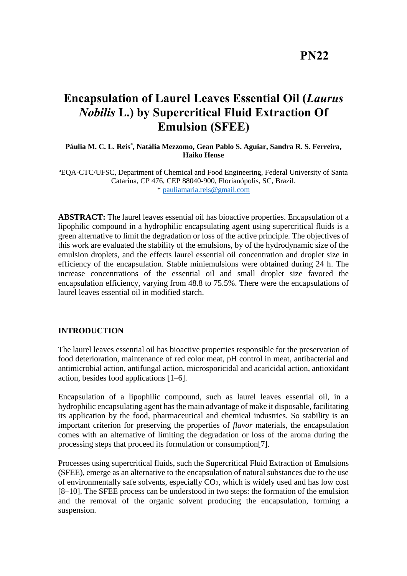## **PN22**

# **Encapsulation of Laurel Leaves Essential Oil (***Laurus Nobilis* **L.) by Supercritical Fluid Extraction Of Emulsion (SFEE)**

### **Páulia M. C. L. Reis\* , Natália Mezzomo, Gean Pablo S. Aguiar, Sandra R. S. Ferreira, Haiko Hense**

<sup>a</sup>EQA-CTC/UFSC, Department of Chemical and Food Engineering, Federal University of Santa Catarina, CP 476, CEP 88040-900, Florianópolis, SC, Brazil. \* [pauliamaria.reis@gmail.com](mailto:pauliamaria.reis@gmail.com)

**ABSTRACT:** The laurel leaves essential oil has bioactive properties. Encapsulation of a lipophilic compound in a hydrophilic encapsulating agent using supercritical fluids is a green alternative to limit the degradation or loss of the active principle. The objectives of this work are evaluated the stability of the emulsions, by of the hydrodynamic size of the emulsion droplets, and the effects laurel essential oil concentration and droplet size in efficiency of the encapsulation. Stable miniemulsions were obtained during 24 h. The increase concentrations of the essential oil and small droplet size favored the encapsulation efficiency, varying from 48.8 to 75.5%. There were the encapsulations of laurel leaves essential oil in modified starch.

## **INTRODUCTION**

The laurel leaves essential oil has bioactive properties responsible for the preservation of food deterioration, maintenance of red color meat, pH control in meat, antibacterial and antimicrobial action, antifungal action, microsporicidal and acaricidal action, antioxidant action, besides food applications [1–6].

Encapsulation of a lipophilic compound, such as laurel leaves essential oil, in a hydrophilic encapsulating agent has the main advantage of make it disposable, facilitating its application by the food, pharmaceutical and chemical industries. So stability is an important criterion for preserving the properties of *flavor* materials, the encapsulation comes with an alternative of limiting the degradation or loss of the aroma during the processing steps that proceed its formulation or consumption[7].

Processes using supercritical fluids, such the Supercritical Fluid Extraction of Emulsions (SFEE), emerge as an alternative to the encapsulation of natural substances due to the use of environmentally safe solvents, especially  $CO<sub>2</sub>$ , which is widely used and has low cost [8–10]. The SFEE process can be understood in two steps: the formation of the emulsion and the removal of the organic solvent producing the encapsulation, forming a suspension.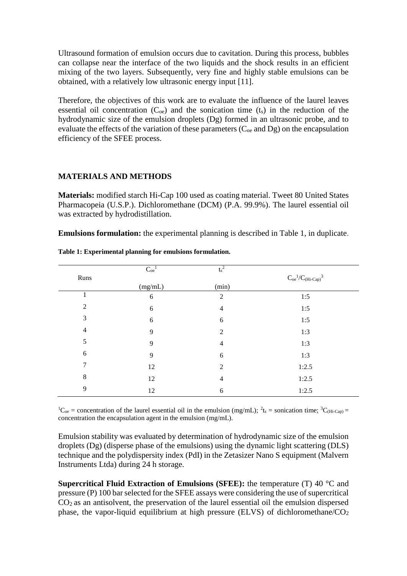Ultrasound formation of emulsion occurs due to cavitation. During this process, bubbles can collapse near the interface of the two liquids and the shock results in an efficient mixing of the two layers. Subsequently, very fine and highly stable emulsions can be obtained, with a relatively low ultrasonic energy input [11].

Therefore, the objectives of this work are to evaluate the influence of the laurel leaves essential oil concentration  $(C_{oe})$  and the sonication time  $(t<sub>s</sub>)$  in the reduction of the hydrodynamic size of the emulsion droplets (Dg) formed in an ultrasonic probe, and to evaluate the effects of the variation of these parameters  $(C_{oe}$  and  $Dg$ ) on the encapsulation efficiency of the SFEE process.

## **MATERIALS AND METHODS**

**Materials:** modified starch Hi-Cap 100 used as coating material. Tweet 80 United States Pharmacopeia (U.S.P.). Dichloromethane (DCM) (P.A. 99.9%). The laurel essential oil was extracted by hydrodistillation.

**Emulsions formulation:** the experimental planning is described in Table 1, in duplicate.

|                | $\mathrm{C}^{-1}_\mathrm{oe}$ | $t_s^2$        |                                        |
|----------------|-------------------------------|----------------|----------------------------------------|
| Runs           |                               |                | $C_{oe}{}^1\!/C_{(Hi\text{-}Cap)}{}^3$ |
|                | (mg/mL)                       | (min)          |                                        |
| 1              | 6                             | $\overline{2}$ | 1:5                                    |
| $\overline{2}$ | 6                             | $\overline{4}$ | 1:5                                    |
| 3              | 6                             | 6              | 1:5                                    |
| 4              | 9                             | $\overline{2}$ | 1:3                                    |
| 5              | 9                             | 4              | 1:3                                    |
| 6              | 9                             | 6              | 1:3                                    |
| 7              | 12                            | $\overline{2}$ | 1:2.5                                  |
| 8              | 12                            | 4              | 1:2.5                                  |
| 9              | 12                            | 6              | 1:2.5                                  |

**Table 1: Experimental planning for emulsions formulation.**

<sup>1</sup>C<sub>oe</sub> = concentration of the laurel essential oil in the emulsion (mg/mL); <sup>2</sup>t<sub>s</sub> = sonication time; <sup>3</sup>C<sub>(Hi-Cap)</sub> = concentration the encapsulation agent in the emulsion (mg/mL).

Emulsion stability was evaluated by determination of hydrodynamic size of the emulsion droplets (Dg) (disperse phase of the emulsions) using the dynamic light scattering (DLS) technique and the polydispersity index (PdI) in the Zetasizer Nano S equipment (Malvern Instruments Ltda) during 24 h storage.

**Supercritical Fluid Extraction of Emulsions (SFEE):** the temperature (T) 40 °C and pressure (P) 100 bar selected for the SFEE assays were considering the use of supercritical  $CO<sub>2</sub>$  as an antisolvent, the preservation of the laurel essential oil the emulsion dispersed phase, the vapor-liquid equilibrium at high pressure (ELVS) of dichloromethane/ $CO<sub>2</sub>$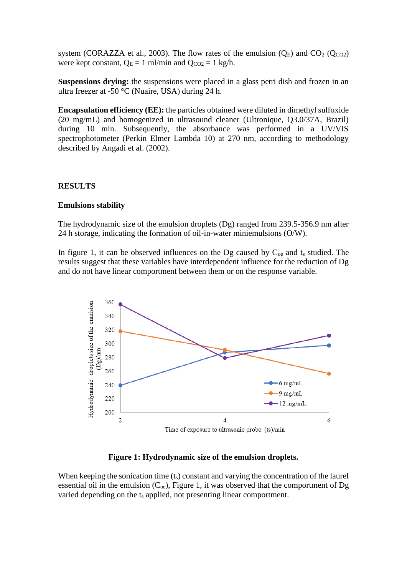system (CORAZZA et al., 2003). The flow rates of the emulsion  $(Q_E)$  and  $CO_2$  ( $Q_{CO2}$ ) were kept constant,  $Q_E = 1$  ml/min and  $Q_{CO2} = 1$  kg/h.

**Suspensions drying:** the suspensions were placed in a glass petri dish and frozen in an ultra freezer at -50 °C (Nuaire, USA) during 24 h.

**Encapsulation efficiency (EE):** the particles obtained were diluted in dimethyl sulfoxide (20 mg/mL) and homogenized in ultrasound cleaner (Ultronique, Q3.0/37A, Brazil) during 10 min. Subsequently, the absorbance was performed in a UV/VIS spectrophotometer (Perkin Elmer Lambda 10) at 270 nm, according to methodology described by Angadi et al. (2002).

### **RESULTS**

#### **Emulsions stability**

The hydrodynamic size of the emulsion droplets (Dg) ranged from 239.5-356.9 nm after 24 h storage, indicating the formation of oil-in-water miniemulsions (O/W).

In figure 1, it can be observed influences on the Dg caused by  $C_{oe}$  and  $t_s$  studied. The results suggest that these variables have interdependent influence for the reduction of Dg and do not have linear comportment between them or on the response variable.



#### **Figure 1: Hydrodynamic size of the emulsion droplets.**

When keeping the sonication time  $(t<sub>s</sub>)$  constant and varying the concentration of the laurel essential oil in the emulsion  $(C_{oe})$ , Figure 1, it was observed that the comportment of Dg varied depending on the t<sub>s</sub> applied, not presenting linear comportment.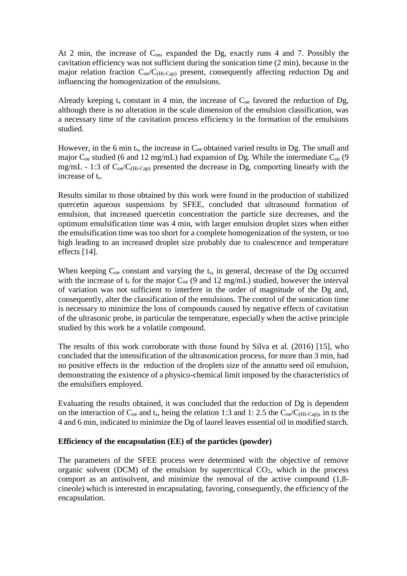At 2 min, the increase of  $C_{oe}$ , expanded the Dg, exactly runs 4 and 7. Possibly the cavitation efficiency was not sufficient during the sonication time (2 min), because in the major relation fraction  $C_{oe}/C_{(Hi-Can)}$  present, consequently affecting reduction Dg and influencing the homogenization of the emulsions.

Already keeping  $t_s$  constant in 4 min, the increase of  $C_{oe}$  favored the reduction of Dg, although there is no alteration in the scale dimension of the emulsion classification, was a necessary time of the cavitation process efficiency in the formation of the emulsions studied.

However, in the 6 min t<sub>s</sub>, the increase in  $C_{oe}$  obtained varied results in Dg. The small and major  $C_{oe}$  studied (6 and 12 mg/mL) had expansion of Dg. While the intermediate  $C_{oe}$  (9 mg/mL - 1:3 of  $C_{oe}/C_{(Hi-Cap)}$  presented the decrease in Dg, comporting linearly with the increase of t<sub>s</sub>.

Results similar to those obtained by this work were found in the production of stabilized quercetin aqueous suspensions by SFEE, concluded that ultrasound formation of emulsion, that increased quercetin concentration the particle size decreases, and the optimum emulsification time was 4 min, with larger emulsion droplet sizes when either the emulsification time was too short for a complete homogenization of the system, or too high leading to an increased droplet size probably due to coalescence and temperature effects [14].

When keeping  $C_{oe}$  constant and varying the  $t_s$ , in general, decrease of the Dg occurred with the increase of  $t_s$  for the major  $C_{oe}$  (9 and 12 mg/mL) studied, however the interval of variation was not sufficient to interfere in the order of magnitude of the Dg and, consequently, alter the classification of the emulsions. The control of the sonication time is necessary to minimize the loss of compounds caused by negative effects of cavitation of the ultrasonic probe, in particular the temperature, especially when the active principle studied by this work be a volatile compound.

The results of this work corroborate with those found by Silva et al. (2016) [15], who concluded that the intensification of the ultrasonication process, for more than 3 min, had no positive effects in the reduction of the droplets size of the annatto seed oil emulsion, demonstrating the existence of a physico-chemical limit imposed by the characteristics of the emulsifiers employed.

Evaluating the results obtained, it was concluded that the reduction of Dg is dependent on the interaction of  $C_{oe}$  and t<sub>s</sub>, being the relation 1:3 and 1: 2.5 the  $C_{oe}/C_{(Hi-Cap)}$ , in ts the 4 and 6 min, indicated to minimize the Dg of laurel leaves essential oil in modified starch.

## **Efficiency of the encapsulation (EE) of the particles (powder)**

The parameters of the SFEE process were determined with the objective of remove organic solvent (DCM) of the emulsion by supercritical  $CO<sub>2</sub>$ , which in the process comport as an antisolvent, and minimize the removal of the active compound (1,8 cineole) which is interested in encapsulating, favoring, consequently, the efficiency of the encapsulation.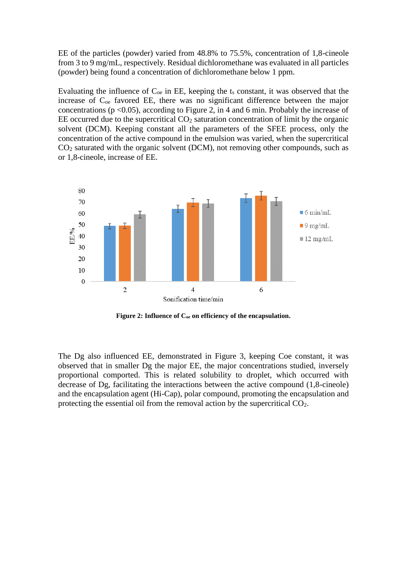EE of the particles (powder) varied from 48.8% to 75.5%, concentration of 1,8-cineole from 3 to 9 mg/mL, respectively. Residual dichloromethane was evaluated in all particles (powder) being found a concentration of dichloromethane below 1 ppm.

Evaluating the influence of  $C_{oe}$  in EE, keeping the  $t_s$  constant, it was observed that the increase of  $C_{oe}$  favored EE, there was no significant difference between the major concentrations ( $p$  <0.05), according to Figure 2, in 4 and 6 min. Probably the increase of EE occurred due to the supercritical  $CO<sub>2</sub>$  saturation concentration of limit by the organic solvent (DCM). Keeping constant all the parameters of the SFEE process, only the concentration of the active compound in the emulsion was varied, when the supercritical CO<sup>2</sup> saturated with the organic solvent (DCM), not removing other compounds, such as or 1,8-cineole, increase of EE.



**Figure 2: Influence of Coe on efficiency of the encapsulation.**

The Dg also influenced EE, demonstrated in Figure 3, keeping Coe constant, it was observed that in smaller Dg the major EE, the major concentrations studied, inversely proportional comported. This is related solubility to droplet, which occurred with decrease of Dg, facilitating the interactions between the active compound (1,8-cineole) and the encapsulation agent (Hi-Cap), polar compound, promoting the encapsulation and protecting the essential oil from the removal action by the supercritical CO2.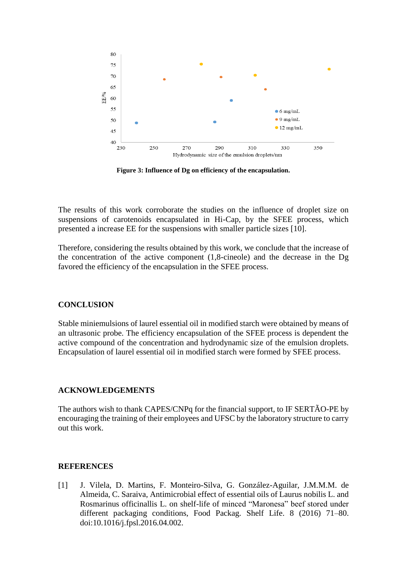

**Figure 3: Influence of Dg on efficiency of the encapsulation.**

The results of this work corroborate the studies on the influence of droplet size on suspensions of carotenoids encapsulated in Hi-Cap, by the SFEE process, which presented a increase EE for the suspensions with smaller particle sizes [10].

Therefore, considering the results obtained by this work, we conclude that the increase of the concentration of the active component (1,8-cineole) and the decrease in the Dg favored the efficiency of the encapsulation in the SFEE process.

#### **CONCLUSION**

Stable miniemulsions of laurel essential oil in modified starch were obtained by means of an ultrasonic probe. The efficiency encapsulation of the SFEE process is dependent the active compound of the concentration and hydrodynamic size of the emulsion droplets. Encapsulation of laurel essential oil in modified starch were formed by SFEE process.

### **ACKNOWLEDGEMENTS**

The authors wish to thank CAPES/CNPq for the financial support, to IF SERTÃO-PE by encouraging the training of their employees and UFSC by the laboratory structure to carry out this work.

#### **REFERENCES**

[1] J. Vilela, D. Martins, F. Monteiro-Silva, G. González-Aguilar, J.M.M.M. de Almeida, C. Saraiva, Antimicrobial effect of essential oils of Laurus nobilis L. and Rosmarinus officinallis L. on shelf-life of minced "Maronesa" beef stored under different packaging conditions, Food Packag. Shelf Life. 8 (2016) 71–80. doi:10.1016/j.fpsl.2016.04.002.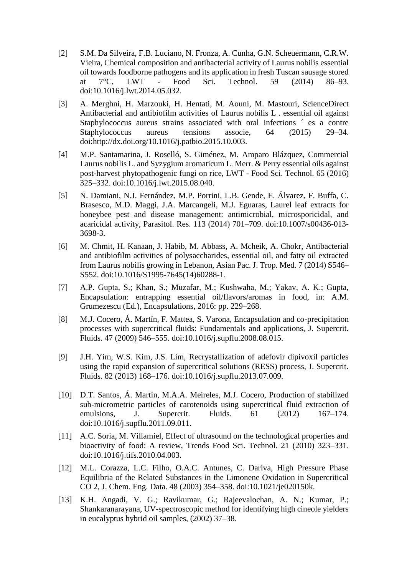- [2] S.M. Da Silveira, F.B. Luciano, N. Fronza, A. Cunha, G.N. Scheuermann, C.R.W. Vieira, Chemical composition and antibacterial activity of Laurus nobilis essential oil towards foodborne pathogens and its application in fresh Tuscan sausage stored at 7°C, LWT - Food Sci. Technol. 59 (2014) 86–93. doi:10.1016/j.lwt.2014.05.032.
- [3] A. Merghni, H. Marzouki, H. Hentati, M. Aouni, M. Mastouri, ScienceDirect Antibacterial and antibiofilm activities of Laurus nobilis L . essential oil against Staphylococcus aureus strains associated with oral infections ´ es a contre Staphylococcus aureus tensions associe, 64 (2015) 29–34. doi:http://dx.doi.org/10.1016/j.patbio.2015.10.003.
- [4] M.P. Santamarina, J. Roselló, S. Giménez, M. Amparo Blázquez, Commercial Laurus nobilis L. and Syzygium aromaticum L. Merr. & Perry essential oils against post-harvest phytopathogenic fungi on rice, LWT - Food Sci. Technol. 65 (2016) 325–332. doi:10.1016/j.lwt.2015.08.040.
- [5] N. Damiani, N.J. Fernández, M.P. Porrini, L.B. Gende, E. Álvarez, F. Buffa, C. Brasesco, M.D. Maggi, J.A. Marcangeli, M.J. Eguaras, Laurel leaf extracts for honeybee pest and disease management: antimicrobial, microsporicidal, and acaricidal activity, Parasitol. Res. 113 (2014) 701–709. doi:10.1007/s00436-013- 3698-3.
- [6] M. Chmit, H. Kanaan, J. Habib, M. Abbass, A. Mcheik, A. Chokr, Antibacterial and antibiofilm activities of polysaccharides, essential oil, and fatty oil extracted from Laurus nobilis growing in Lebanon, Asian Pac. J. Trop. Med. 7 (2014) S546– S552. doi:10.1016/S1995-7645(14)60288-1.
- [7] A.P. Gupta, S.; Khan, S.; Muzafar, M.; Kushwaha, M.; Yakav, A. K.; Gupta, Encapsulation: entrapping essential oil/flavors/aromas in food, in: A.M. Grumezescu (Ed.), Encapsulations, 2016: pp. 229–268.
- [8] M.J. Cocero, Á. Martín, F. Mattea, S. Varona, Encapsulation and co-precipitation processes with supercritical fluids: Fundamentals and applications, J. Supercrit. Fluids. 47 (2009) 546–555. doi:10.1016/j.supflu.2008.08.015.
- [9] J.H. Yim, W.S. Kim, J.S. Lim, Recrystallization of adefovir dipivoxil particles using the rapid expansion of supercritical solutions (RESS) process, J. Supercrit. Fluids. 82 (2013) 168–176. doi:10.1016/j.supflu.2013.07.009.
- [10] D.T. Santos, Á. Martín, M.A.A. Meireles, M.J. Cocero, Production of stabilized sub-micrometric particles of carotenoids using supercritical fluid extraction of emulsions, J. Supercrit. Fluids. 61 (2012) 167–174. doi:10.1016/j.supflu.2011.09.011.
- [11] A.C. Soria, M. Villamiel, Effect of ultrasound on the technological properties and bioactivity of food: A review, Trends Food Sci. Technol. 21 (2010) 323–331. doi:10.1016/j.tifs.2010.04.003.
- [12] M.L. Corazza, L.C. Filho, O.A.C. Antunes, C. Dariva, High Pressure Phase Equilibria of the Related Substances in the Limonene Oxidation in Supercritical CO 2, J. Chem. Eng. Data. 48 (2003) 354–358. doi:10.1021/je020150k.
- [13] K.H. Angadi, V. G.; Ravikumar, G.; Rajeevalochan, A. N.; Kumar, P.; Shankaranarayana, UV-spectroscopic method for identifying high cineole yielders in eucalyptus hybrid oil samples, (2002) 37–38.